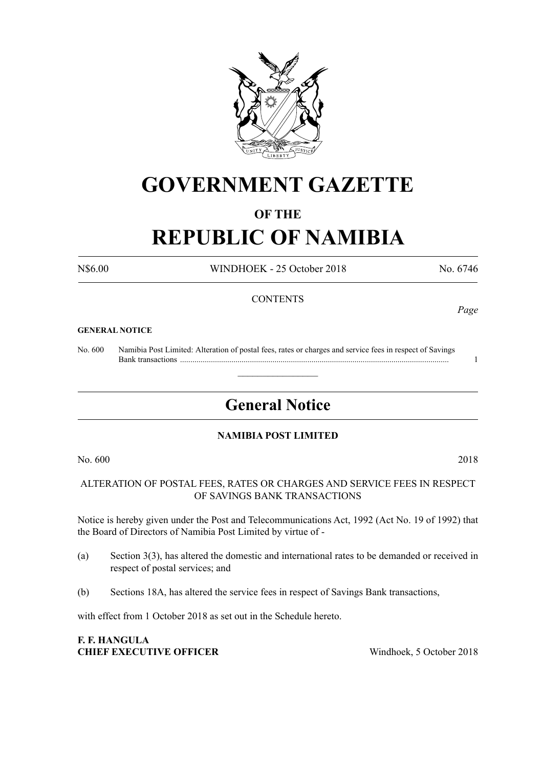

# **GOVERNMENT GAZETTE**

#### **OF THE**

# **REPUBLIC OF NAMIBIA**

N\$6.00 WINDHOEK - 25 October 2018 No. 6746

#### **CONTENTS**

#### **GENERAL NOTICE**

No. 600 Namibia Post Limited: Alteration of postal fees, rates or charges and service fees in respect of Savings Bank transactions ................................................................................................................................... 1

## **General Notice**

 $\overline{\phantom{a}}$  , where  $\overline{\phantom{a}}$ 

#### **NAMIBIA POST LIMITED**

No. 600 2018

ALTERATION OF POSTAL FEES, RATES OR CHARGES AND SERVICE FEES IN RESPECT OF SAVINGS BANK TRANSACTIONS

Notice is hereby given under the Post and Telecommunications Act, 1992 (Act No. 19 of 1992) that the Board of Directors of Namibia Post Limited by virtue of -

- (a) Section 3(3), has altered the domestic and international rates to be demanded or received in respect of postal services; and
- (b) Sections 18A, has altered the service fees in respect of Savings Bank transactions,

with effect from 1 October 2018 as set out in the Schedule hereto.

#### **F. F. HANGULA CHIEF EXECUTIVE OFFICER** Windhoek, 5 October 2018

*Page*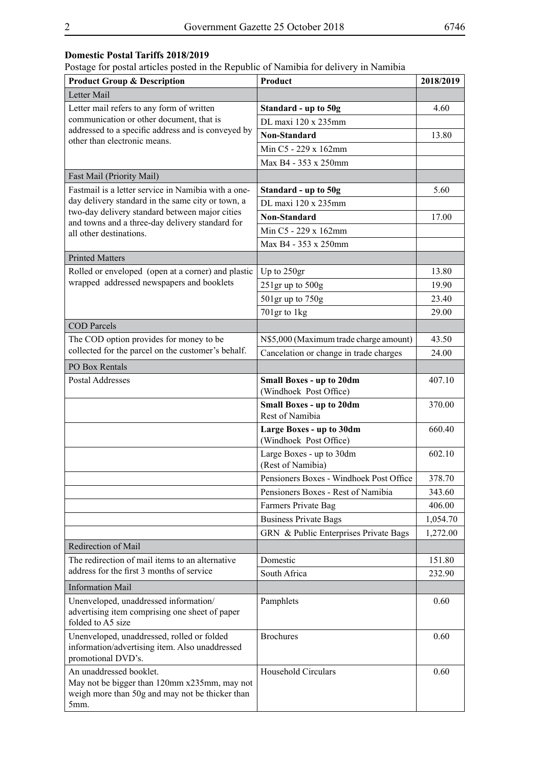#### **Domestic Postal Tariffs 2018/2019**

Postage for postal articles posted in the Republic of Namibia for delivery in Namibia

| <b>Product Group &amp; Description</b>                                                                                             | Product                                                   | 2018/2019 |
|------------------------------------------------------------------------------------------------------------------------------------|-----------------------------------------------------------|-----------|
| Letter Mail                                                                                                                        |                                                           |           |
| Letter mail refers to any form of written                                                                                          | Standard - up to 50g                                      | 4.60      |
| communication or other document, that is<br>addressed to a specific address and is conveyed by<br>other than electronic means.     | DL maxi 120 x 235mm                                       |           |
|                                                                                                                                    | <b>Non-Standard</b>                                       | 13.80     |
|                                                                                                                                    | Min C5 - 229 x 162mm                                      |           |
|                                                                                                                                    | Max B4 - 353 x 250mm                                      |           |
| Fast Mail (Priority Mail)                                                                                                          |                                                           |           |
| Fastmail is a letter service in Namibia with a one-                                                                                | Standard - up to 50g                                      | 5.60      |
| day delivery standard in the same city or town, a<br>two-day delivery standard between major cities                                | DL maxi 120 x 235mm                                       |           |
| and towns and a three-day delivery standard for                                                                                    | <b>Non-Standard</b>                                       | 17.00     |
| all other destinations.                                                                                                            | Min C5 - 229 x 162mm                                      |           |
|                                                                                                                                    | Max B4 - 353 x 250mm                                      |           |
| <b>Printed Matters</b>                                                                                                             |                                                           |           |
| Rolled or enveloped (open at a corner) and plastic                                                                                 | Up to 250gr                                               | 13.80     |
| wrapped addressed newspapers and booklets                                                                                          | $251$ gr up to $500g$                                     | 19.90     |
|                                                                                                                                    | 501gr up to 750g                                          | 23.40     |
|                                                                                                                                    | 701gr to 1kg                                              | 29.00     |
| <b>COD</b> Parcels                                                                                                                 |                                                           |           |
| The COD option provides for money to be                                                                                            | N\$5,000 (Maximum trade charge amount)                    | 43.50     |
| collected for the parcel on the customer's behalf.                                                                                 | Cancelation or change in trade charges                    | 24.00     |
| PO Box Rentals                                                                                                                     |                                                           |           |
| Postal Addresses                                                                                                                   | <b>Small Boxes - up to 20dm</b><br>(Windhoek Post Office) | 407.10    |
|                                                                                                                                    | <b>Small Boxes - up to 20dm</b><br>Rest of Namibia        | 370.00    |
|                                                                                                                                    | Large Boxes - up to 30dm<br>(Windhoek Post Office)        | 660.40    |
|                                                                                                                                    | Large Boxes - up to 30dm<br>(Rest of Namibia)             | 602.10    |
|                                                                                                                                    | Pensioners Boxes - Windhoek Post Office                   | 378.70    |
|                                                                                                                                    | Pensioners Boxes - Rest of Namibia                        | 343.60    |
|                                                                                                                                    | Farmers Private Bag                                       | 406.00    |
|                                                                                                                                    | <b>Business Private Bags</b>                              | 1,054.70  |
|                                                                                                                                    | GRN & Public Enterprises Private Bags                     | 1,272.00  |
| Redirection of Mail                                                                                                                |                                                           |           |
| The redirection of mail items to an alternative                                                                                    | Domestic                                                  | 151.80    |
| address for the first 3 months of service                                                                                          | South Africa                                              | 232.90    |
| <b>Information Mail</b>                                                                                                            |                                                           |           |
| Unenveloped, unaddressed information/<br>advertising item comprising one sheet of paper<br>folded to A5 size                       | Pamphlets                                                 | 0.60      |
| Unenveloped, unaddressed, rolled or folded<br>information/advertising item. Also unaddressed<br>promotional DVD's.                 | <b>Brochures</b>                                          | 0.60      |
| An unaddressed booklet.<br>May not be bigger than 120mm x235mm, may not<br>weigh more than 50g and may not be thicker than<br>5mm. | <b>Household Circulars</b>                                | 0.60      |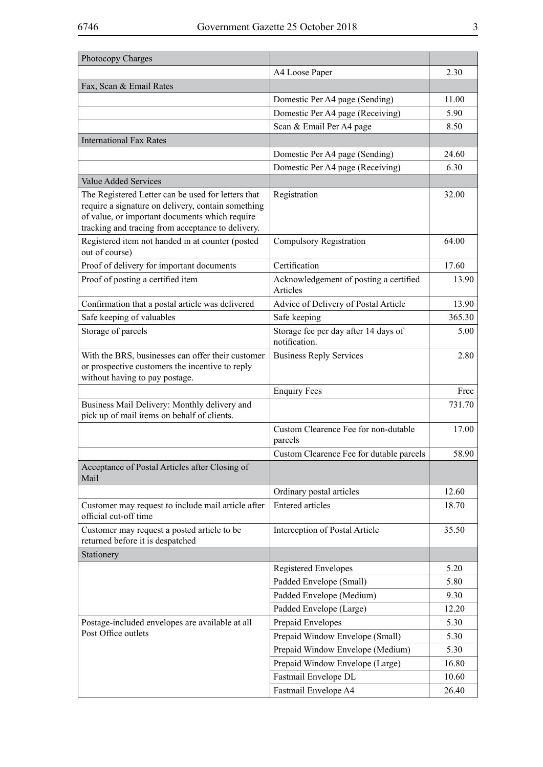| Photocopy Charges                                                                                                                                                                                               |                                                       |        |
|-----------------------------------------------------------------------------------------------------------------------------------------------------------------------------------------------------------------|-------------------------------------------------------|--------|
|                                                                                                                                                                                                                 | A4 Loose Paper                                        | 2.30   |
| Fax, Scan & Email Rates                                                                                                                                                                                         |                                                       |        |
|                                                                                                                                                                                                                 | Domestic Per A4 page (Sending)                        | 11.00  |
|                                                                                                                                                                                                                 | Domestic Per A4 page (Receiving)                      | 5.90   |
|                                                                                                                                                                                                                 | Scan & Email Per A4 page                              | 8.50   |
| <b>International Fax Rates</b>                                                                                                                                                                                  |                                                       |        |
|                                                                                                                                                                                                                 | Domestic Per A4 page (Sending)                        | 24.60  |
|                                                                                                                                                                                                                 | Domestic Per A4 page (Receiving)                      | 6.30   |
| <b>Value Added Services</b>                                                                                                                                                                                     |                                                       |        |
| The Registered Letter can be used for letters that<br>require a signature on delivery, contain something<br>of value, or important documents which require<br>tracking and tracing from acceptance to delivery. | Registration                                          | 32.00  |
| Registered item not handed in at counter (posted<br>out of course)                                                                                                                                              | <b>Compulsory Registration</b>                        | 64.00  |
| Proof of delivery for important documents                                                                                                                                                                       | Certification                                         | 17.60  |
| Proof of posting a certified item                                                                                                                                                                               | Acknowledgement of posting a certified<br>Articles    | 13.90  |
| Confirmation that a postal article was delivered                                                                                                                                                                | Advice of Delivery of Postal Article                  | 13.90  |
| Safe keeping of valuables                                                                                                                                                                                       | Safe keeping                                          | 365.30 |
| Storage of parcels                                                                                                                                                                                              | Storage fee per day after 14 days of<br>notification. | 5.00   |
| With the BRS, businesses can offer their customer<br>or prospective customers the incentive to reply<br>without having to pay postage.                                                                          | <b>Business Reply Services</b>                        | 2.80   |
|                                                                                                                                                                                                                 | <b>Enquiry Fees</b>                                   | Free   |
| Business Mail Delivery: Monthly delivery and<br>pick up of mail items on behalf of clients.                                                                                                                     |                                                       | 731.70 |
|                                                                                                                                                                                                                 | Custom Clearence Fee for non-dutable<br>parcels       | 17.00  |
|                                                                                                                                                                                                                 | Custom Clearence Fee for dutable parcels              | 58.90  |
| Acceptance of Postal Articles after Closing of<br>Mail                                                                                                                                                          |                                                       |        |
|                                                                                                                                                                                                                 | Ordinary postal articles                              | 12.60  |
| Customer may request to include mail article after<br>official cut-off time                                                                                                                                     | <b>Entered articles</b>                               | 18.70  |
| Customer may request a posted article to be<br>returned before it is despatched                                                                                                                                 | Interception of Postal Article                        | 35.50  |
| Stationery                                                                                                                                                                                                      |                                                       |        |
|                                                                                                                                                                                                                 | <b>Registered Envelopes</b>                           | 5.20   |
|                                                                                                                                                                                                                 | Padded Envelope (Small)                               | 5.80   |
|                                                                                                                                                                                                                 | Padded Envelope (Medium)                              | 9.30   |
|                                                                                                                                                                                                                 | Padded Envelope (Large)                               | 12.20  |
| Postage-included envelopes are available at all                                                                                                                                                                 | Prepaid Envelopes                                     | 5.30   |
| Post Office outlets                                                                                                                                                                                             | Prepaid Window Envelope (Small)                       | 5.30   |
|                                                                                                                                                                                                                 | Prepaid Window Envelope (Medium)                      | 5.30   |
|                                                                                                                                                                                                                 | Prepaid Window Envelope (Large)                       | 16.80  |
|                                                                                                                                                                                                                 | Fastmail Envelope DL                                  | 10.60  |
|                                                                                                                                                                                                                 | Fastmail Envelope A4                                  | 26.40  |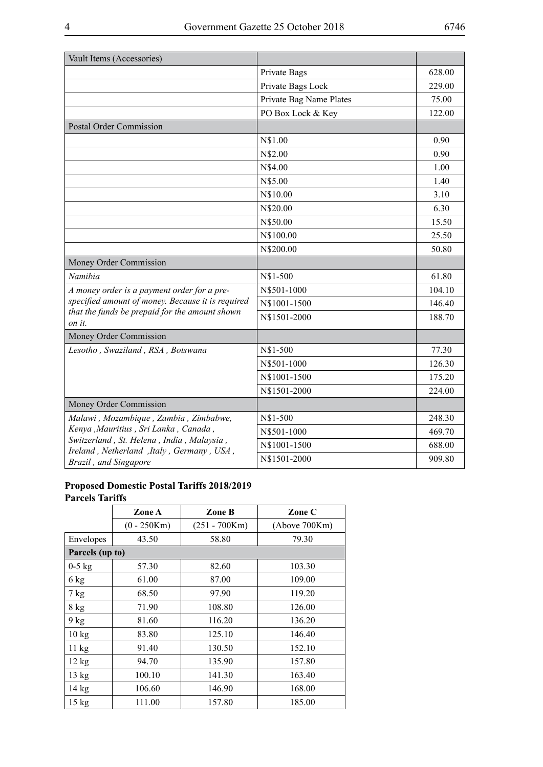| Vault Items (Accessories)                                                              |                         |        |
|----------------------------------------------------------------------------------------|-------------------------|--------|
|                                                                                        | Private Bags            | 628.00 |
|                                                                                        | Private Bags Lock       | 229.00 |
|                                                                                        | Private Bag Name Plates | 75.00  |
|                                                                                        | PO Box Lock & Key       | 122.00 |
| <b>Postal Order Commission</b>                                                         |                         |        |
|                                                                                        | N\$1.00                 | 0.90   |
|                                                                                        | N\$2.00                 | 0.90   |
|                                                                                        | N\$4.00                 | 1.00   |
|                                                                                        | N\$5.00                 | 1.40   |
|                                                                                        | N\$10.00                | 3.10   |
|                                                                                        | N\$20.00                | 6.30   |
|                                                                                        | N\$50.00                | 15.50  |
|                                                                                        | N\$100.00               | 25.50  |
|                                                                                        | N\$200.00               | 50.80  |
| Money Order Commission                                                                 |                         |        |
| Namibia                                                                                | N\$1-500                | 61.80  |
| A money order is a payment order for a pre-                                            | N\$501-1000             | 104.10 |
| specified amount of money. Because it is required                                      | N\$1001-1500            | 146.40 |
| that the funds be prepaid for the amount shown<br>on it.                               | N\$1501-2000            | 188.70 |
| Money Order Commission                                                                 |                         |        |
| Lesotho, Swaziland, RSA, Botswana                                                      | N\$1-500                | 77.30  |
|                                                                                        | N\$501-1000             | 126.30 |
|                                                                                        | N\$1001-1500            | 175.20 |
|                                                                                        | N\$1501-2000            | 224.00 |
| Money Order Commission                                                                 |                         |        |
| Malawi, Mozambique, Zambia, Zimbabwe,                                                  | N\$1-500                | 248.30 |
| Kenya , Mauritius , Sri Lanka, Canada,                                                 | N\$501-1000             | 469.70 |
| Switzerland, St. Helena, India, Malaysia,<br>Ireland, Netherland, Italy, Germany, USA, | N\$1001-1500            | 688.00 |
| Brazil, and Singapore                                                                  | N\$1501-2000            | 909.80 |

#### **Proposed Domestic Postal Tariffs 2018/2019 Parcels Tariffs**

|                 | Zone A        | Zone B          | Zone C        |
|-----------------|---------------|-----------------|---------------|
|                 | $(0 - 250Km)$ | $(251 - 700Km)$ | (Above 700Km) |
| Envelopes       | 43.50         | 58.80           | 79.30         |
| Parcels (up to) |               |                 |               |
| $0-5$ kg        | 57.30         | 82.60           | 103.30        |
| 6 kg            | 61.00         | 87.00           | 109.00        |
| 7 kg            | 68.50         | 97.90           | 119.20        |
| 8 kg            | 71.90         | 108.80          | 126.00        |
| 9 kg            | 81.60         | 116.20          | 136.20        |
| $10 \text{ kg}$ | 83.80         | 125.10          | 146.40        |
| 11 kg           | 91.40         | 130.50          | 152.10        |
| 12 kg           | 94.70         | 135.90          | 157.80        |
| 13 kg           | 100.10        | 141.30          | 163.40        |
| $14 \text{ kg}$ | 106.60        | 146.90          | 168.00        |
| $15$ kg         | 111.00        | 157.80          | 185.00        |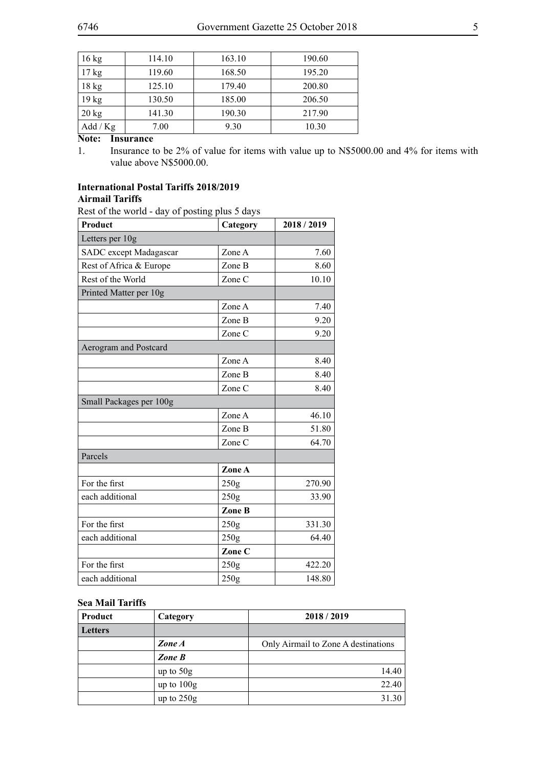| $16 \text{ kg}$  | 114.10 | 163.10 | 190.60 |
|------------------|--------|--------|--------|
| $17 \text{ kg}$  | 119.60 | 168.50 | 195.20 |
| $18$ kg          | 125.10 | 179.40 | 200.80 |
| 19 <sub>kg</sub> | 130.50 | 185.00 | 206.50 |
| $20 \text{ kg}$  | 141.30 | 190.30 | 217.90 |
| Add / Kg         | 7.00   | 9.30   | 10.30  |

**Note: Insurance**

1. Insurance to be 2% of value for items with value up to N\$5000.00 and 4% for items with value above N\$5000.00.

#### **International Postal Tariffs 2018/2019 Airmail Tariffs**

Rest of the world - day of posting plus 5 days

| Product                 | Category | 2018/2019 |
|-------------------------|----------|-----------|
| Letters per 10g         |          |           |
| SADC except Madagascar  | Zone A   | 7.60      |
| Rest of Africa & Europe | Zone B   | 8.60      |
| Rest of the World       | Zone C   | 10.10     |
| Printed Matter per 10g  |          |           |
|                         | Zone A   | 7.40      |
|                         | Zone B   | 9.20      |
|                         | Zone C   | 9.20      |
| Aerogram and Postcard   |          |           |
|                         | Zone A   | 8.40      |
|                         | Zone B   | 8.40      |
|                         | Zone C   | 8.40      |
| Small Packages per 100g |          |           |
|                         | Zone A   | 46.10     |
|                         | Zone B   | 51.80     |
|                         | Zone C   | 64.70     |
| Parcels                 |          |           |
|                         | Zone A   |           |
| For the first           | 250g     | 270.90    |
| each additional         | 250g     | 33.90     |
|                         | Zone B   |           |
| For the first           | 250g     | 331.30    |
| each additional         | 250g     | 64.40     |
|                         | Zone C   |           |
| For the first           | 250g     | 422.20    |
| each additional         | 250g     | 148.80    |

#### **Sea Mail Tariffs**

| Product        | Category     | 2018/2019                           |
|----------------|--------------|-------------------------------------|
| <b>Letters</b> |              |                                     |
|                | Zone A       | Only Airmail to Zone A destinations |
|                | Zone B       |                                     |
|                | up to $50g$  | 14.40                               |
|                | up to $100g$ | 22.40                               |
|                | up to $250g$ | 31.30                               |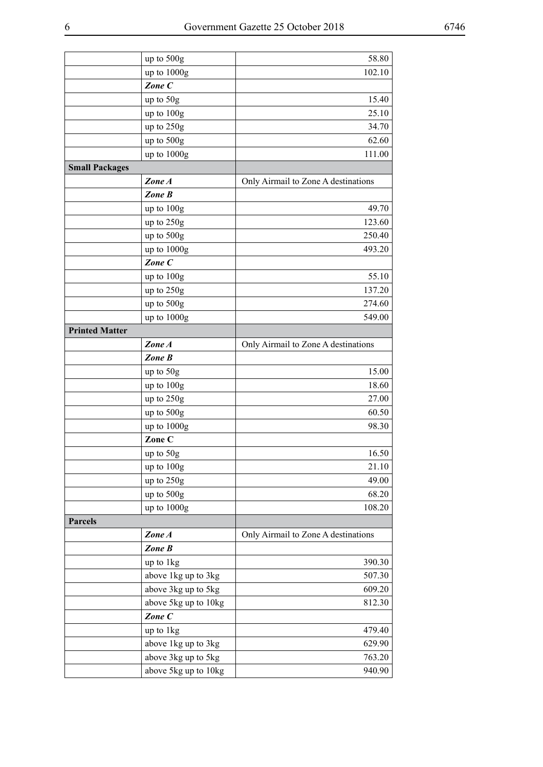|                       | up to 500g           | 58.80                               |
|-----------------------|----------------------|-------------------------------------|
|                       | up to 1000g          | 102.10                              |
|                       | Zone C               |                                     |
|                       | up to 50g            | 15.40                               |
|                       | up to 100g           | 25.10                               |
|                       | up to 250g           | 34.70                               |
|                       | up to 500g           | 62.60                               |
|                       | up to 1000g          | 111.00                              |
| <b>Small Packages</b> |                      |                                     |
|                       | Zone A               | Only Airmail to Zone A destinations |
|                       | Zone B               |                                     |
|                       | up to 100g           | 49.70                               |
|                       | up to 250g           | 123.60                              |
|                       | up to 500g           | 250.40                              |
|                       | up to 1000g          | 493.20                              |
|                       | Zone C               |                                     |
|                       | up to 100g           | 55.10                               |
|                       | up to 250g           | 137.20                              |
|                       | up to 500g           | 274.60                              |
|                       | up to 1000g          | 549.00                              |
| <b>Printed Matter</b> |                      |                                     |
|                       | Zone A               | Only Airmail to Zone A destinations |
|                       | Zone B               |                                     |
|                       | up to 50g            | 15.00                               |
|                       | up to 100g           | 18.60                               |
|                       | up to 250g           | 27.00                               |
|                       | up to 500g           | 60.50                               |
|                       | up to 1000g          | 98.30                               |
|                       | Zone C               |                                     |
|                       | up to 50g            | 16.50                               |
|                       | up to 100g           | 21.10                               |
|                       | up to 250g           | 49.00                               |
|                       | up to 500g           | 68.20                               |
|                       | up to 1000g          | 108.20                              |
| <b>Parcels</b>        |                      |                                     |
|                       | Zone A               | Only Airmail to Zone A destinations |
|                       | Zone B               |                                     |
|                       | up to 1kg            | 390.30                              |
|                       | above 1kg up to 3kg  | 507.30                              |
|                       | above 3kg up to 5kg  | 609.20                              |
|                       | above 5kg up to 10kg | 812.30                              |
|                       | Zone C               |                                     |
|                       | up to 1kg            | 479.40                              |
|                       | above 1kg up to 3kg  | 629.90                              |
|                       | above 3kg up to 5kg  | 763.20                              |
|                       | above 5kg up to 10kg | 940.90                              |
|                       |                      |                                     |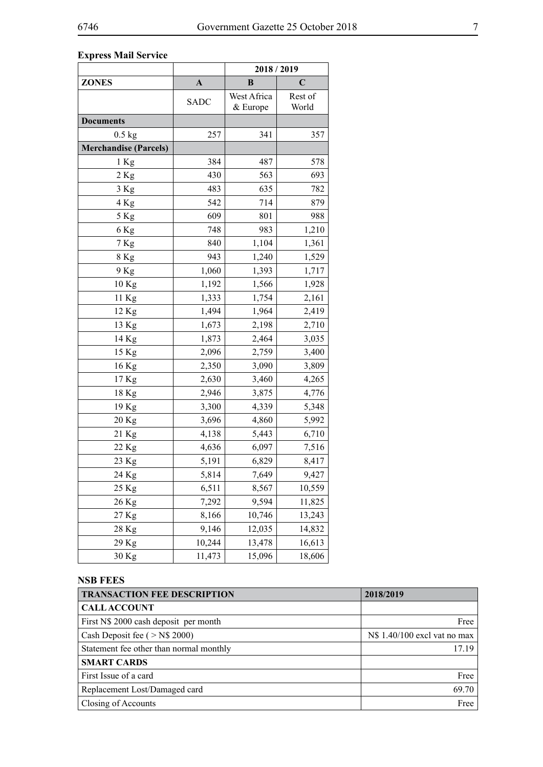### **Express Mail Service**

|                              |              | 2018 / 2019             |                  |
|------------------------------|--------------|-------------------------|------------------|
| <b>ZONES</b>                 | $\mathbf{A}$ | B                       | C                |
|                              | <b>SADC</b>  | West Africa<br>& Europe | Rest of<br>World |
| <b>Documents</b>             |              |                         |                  |
| $0.5$ kg                     | 257          | 341                     | 357              |
| <b>Merchandise (Parcels)</b> |              |                         |                  |
| 1 Kg                         | 384          | 487                     | 578              |
| 2 Kg                         | 430          | 563                     | 693              |
| 3 Kg                         | 483          | 635                     | 782              |
| 4 Kg                         | 542          | 714                     | 879              |
| 5 Kg                         | 609          | 801                     | 988              |
| 6 Kg                         | 748          | 983                     | 1,210            |
| 7 Kg                         | 840          | 1,104                   | 1,361            |
| 8 Kg                         | 943          | 1,240                   | 1,529            |
| 9 Kg                         | 1,060        | 1,393                   | 1,717            |
| 10 Kg                        | 1,192        | 1,566                   | 1,928            |
| 11 Kg                        | 1,333        | 1,754                   | 2,161            |
| 12 Kg                        | 1,494        | 1,964                   | 2,419            |
| 13 Kg                        | 1,673        | 2,198                   | 2,710            |
| 14 Kg                        | 1,873        | 2,464                   | 3,035            |
| 15 Kg                        | 2,096        | 2,759                   | 3,400            |
| 16 Kg                        | 2,350        | 3,090                   | 3,809            |
| 17 Kg                        | 2,630        | 3,460                   | 4,265            |
| 18 Kg                        | 2,946        | 3,875                   | 4,776            |
| 19 Kg                        | 3,300        | 4,339                   | 5,348            |
| 20 Kg                        | 3,696        | 4,860                   | 5,992            |
| 21 Kg                        | 4,138        | 5,443                   | 6,710            |
| 22 Kg                        | 4,636        | 6,097                   | 7,516            |
| 23 Kg                        | 5,191        | 6,829                   | 8,417            |
| 24 Kg                        | 5,814        | 7,649                   | 9,427            |
| 25 Kg                        | 6,511        | 8,567                   | 10,559           |
| 26 Kg                        | 7,292        | 9,594                   | 11,825           |
| 27 Kg                        | 8,166        | 10,746                  | 13,243           |
| 28 Kg                        | 9,146        | 12,035                  | 14,832           |
| 29 Kg                        | 10,244       | 13,478                  | 16,613           |
| 30 Kg                        | 11,473       | 15,096                  | 18,606           |

### **NSB FEES**

| <b>TRANSACTION FEE DESCRIPTION</b>      | 2018/2019                             |
|-----------------------------------------|---------------------------------------|
| <b>CALLACCOUNT</b>                      |                                       |
| First N\$ 2000 cash deposit per month   | Free                                  |
| Cash Deposit fee $($ > N\$ 2000)        | N\\$ 1.40/100 excl vat no max $\vert$ |
| Statement fee other than normal monthly | 17 19                                 |
| <b>SMART CARDS</b>                      |                                       |
| First Issue of a card                   | Free                                  |
| Replacement Lost/Damaged card           | 69.70                                 |
| Closing of Accounts                     | Free                                  |